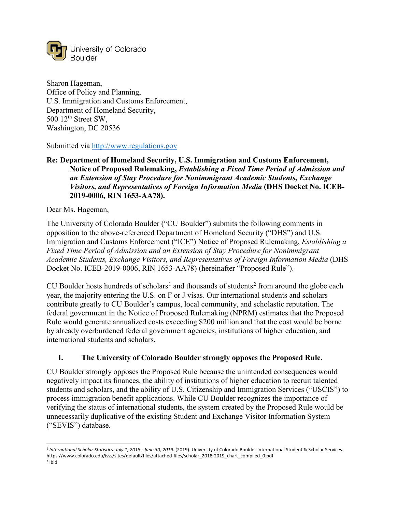

Sharon Hageman, Office of Policy and Planning, U.S. Immigration and Customs Enforcement, Department of Homeland Security,  $500$   $12<sup>th</sup>$  Street SW, Washington, DC 20536

Submitted via [http://www.regulations.gov](about:blank)

# **Re: Department of Homeland Security, U.S. Immigration and Customs Enforcement, Notice of Proposed Rulemaking,** *Establishing a Fixed Time Period of Admission and an Extension of Stay Procedure for Nonimmigrant Academic Students, Exchange Visitors, and Representatives of Foreign Information Media* **(DHS Docket No. ICEB-2019-0006, RIN 1653-AA78).**

Dear Ms. Hageman,

The University of Colorado Boulder ("CU Boulder") submits the following comments in opposition to the above-referenced Department of Homeland Security ("DHS") and U.S. Immigration and Customs Enforcement ("ICE") Notice of Proposed Rulemaking, *Establishing a Fixed Time Period of Admission and an Extension of Stay Procedure for Nonimmigrant Academic Students, Exchange Visitors, and Representatives of Foreign Information Media* (DHS Docket No. ICEB-2019-0006, RIN 1653-AA78) (hereinafter "Proposed Rule").

CU Boulder hosts hundreds of scholars<sup>[1](#page-0-0)</sup> and thousands of students<sup>[2](#page-0-1)</sup> from around the globe each year, the majority entering the U.S. on F or J visas. Our international students and scholars contribute greatly to CU Boulder's campus, local community, and scholastic reputation. The federal government in the Notice of Proposed Rulemaking (NPRM) estimates that the Proposed Rule would generate annualized costs exceeding \$200 million and that the cost would be borne by already overburdened federal government agencies, institutions of higher education, and international students and scholars.

### **I. The University of Colorado Boulder strongly opposes the Proposed Rule.**

CU Boulder strongly opposes the Proposed Rule because the unintended consequences would negatively impact its finances, the ability of institutions of higher education to recruit talented students and scholars, and the ability of U.S. Citizenship and Immigration Services ("USCIS") to process immigration benefit applications. While CU Boulder recognizes the importance of verifying the status of international students, the system created by the Proposed Rule would be unnecessarily duplicative of the existing Student and Exchange Visitor Information System ("SEVIS") database.

<span id="page-0-0"></span> <sup>1</sup> *International Scholar Statistics: July 1, 2018 - June 30, 2019*. (2019). University of Colorado Boulder International Student & Scholar Services. https://www.colorado.edu/isss/sites/default/files/attached-files/scholar\_2018-2019\_chart\_compiled\_0.pdf

<span id="page-0-1"></span><sup>2</sup> Ibid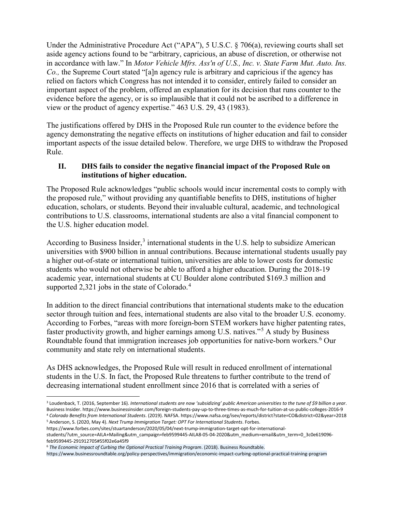Under the Administrative Procedure Act ("APA"), 5 U.S.C. § 706(a), reviewing courts shall set aside agency actions found to be "arbitrary, capricious, an abuse of discretion, or otherwise not in accordance with law." In *Motor Vehicle Mfrs. Ass'n of U.S., Inc. v. State Farm Mut. Auto. Ins. Co.,* the Supreme Court stated "[a]n agency rule is arbitrary and capricious if the agency has relied on factors which Congress has not intended it to consider, entirely failed to consider an important aspect of the problem, offered an explanation for its decision that runs counter to the evidence before the agency, or is so implausible that it could not be ascribed to a difference in view or the product of agency expertise." 463 U.S. 29, 43 (1983).

The justifications offered by DHS in the Proposed Rule run counter to the evidence before the agency demonstrating the negative effects on institutions of higher education and fail to consider important aspects of the issue detailed below. Therefore, we urge DHS to withdraw the Proposed Rule.

# **II. DHS fails to consider the negative financial impact of the Proposed Rule on institutions of higher education.**

The Proposed Rule acknowledges "public schools would incur incremental costs to comply with the proposed rule," without providing any quantifiable benefits to DHS, institutions of higher education, scholars, or students. Beyond their invaluable cultural, academic, and technological contributions to U.S. classrooms, international students are also a vital financial component to the U.S. higher education model.

According to Business Insider,<sup>[3](#page-1-0)</sup> international students in the U.S. help to subsidize American universities with \$900 billion in annual contributions. Because international students usually pay a higher out-of-state or international tuition, universities are able to lower costs for domestic students who would not otherwise be able to afford a higher education. During the 2018-19 academic year, international students at CU Boulder alone contributed \$169.3 million and supported 2,321 jobs in the state of Colorado.<sup>[4](#page-1-1)</sup>

In addition to the direct financial contributions that international students make to the education sector through tuition and fees, international students are also vital to the broader U.S. economy. According to Forbes, "areas with more foreign-born STEM workers have higher patenting rates, faster productivity growth, and higher earnings among U.S. natives."[5](#page-1-2) A study by Business Roundtable found that immigration increases job opportunities for native-born workers.<sup>[6](#page-1-3)</sup> Our community and state rely on international students.

As DHS acknowledges, the Proposed Rule will result in reduced enrollment of international students in the U.S. In fact, the Proposed Rule threatens to further contribute to the trend of decreasing international student enrollment since 2016 that is correlated with a series of

<span id="page-1-2"></span><span id="page-1-1"></span><sup>5</sup> Anderson, S. (2020, May 4). *Next Trump Immigration Target: OPT For International Students*. Forbes. https://www.forbes.com/sites/stuartanderson/2020/05/04/next-trump-immigration-target-opt-for-international-

<span id="page-1-0"></span> <sup>3</sup> Loudenback, T. (2016, September 16). *International students are now 'subsidizing' public American universities to the tune of \$9 billion a year*. Business Insider. https://www.businessinsider.com/foreign-students-pay-up-to-three-times-as-much-for-tuition-at-us-public-colleges-2016-9 <sup>4</sup> *Colorado Benefits from International Students*. (2019). NAFSA. https://www.nafsa.org/isev/reports/district?state=CO&district=02&year=2018

students/?utm\_source=AILA+Mailing&utm\_campaign=feb9599445-AILA8-05-04-2020&utm\_medium=email&utm\_term=0\_3c0e619096 feb9599445-291912705#55f02e6a45f9

<span id="page-1-3"></span><sup>6</sup> *The Economic Impact of Curbing the Optional Practical Training Program*. (2018). Business Roundtable.

https://www.businessroundtable.org/policy-perspectives/immigration/economic-impact-curbing-optional-practical-training-program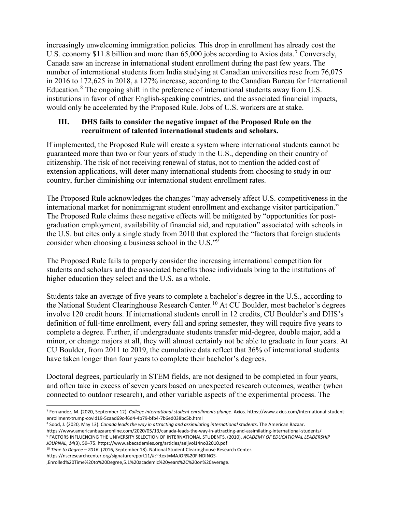increasingly unwelcoming immigration policies. This drop in enrollment has already cost the U.S. economy \$11.8 billion and more than 65,000 jobs according to Axios data.<sup>[7](#page-2-0)</sup> Conversely, Canada saw an increase in international student enrollment during the past few years. The number of international students from India studying at Canadian universities rose from 76,075 in 2016 to 172,625 in 2018, a 127% increase, according to the Canadian Bureau for International Education.<sup>[8](#page-2-1)</sup> The ongoing shift in the preference of international students away from U.S. institutions in favor of other English-speaking countries, and the associated financial impacts, would only be accelerated by the Proposed Rule. Jobs of U.S. workers are at stake.

### **III. DHS fails to consider the negative impact of the Proposed Rule on the recruitment of talented international students and scholars.**

If implemented, the Proposed Rule will create a system where international students cannot be guaranteed more than two or four years of study in the U.S., depending on their country of citizenship. The risk of not receiving renewal of status, not to mention the added cost of extension applications, will deter many international students from choosing to study in our country, further diminishing our international student enrollment rates.

The Proposed Rule acknowledges the changes "may adversely affect U.S. competitiveness in the international market for nonimmigrant student enrollment and exchange visitor participation." The Proposed Rule claims these negative effects will be mitigated by "opportunities for postgraduation employment, availability of financial aid, and reputation" associated with schools in the U.S. but cites only a single study from 2010 that explored the "factors that foreign students consider when choosing a business school in the U.S."[9](#page-2-2)

The Proposed Rule fails to properly consider the increasing international competition for students and scholars and the associated benefits those individuals bring to the institutions of higher education they select and the U.S. as a whole.

Students take an average of five years to complete a bachelor's degree in the U.S., according to the National Student Clearinghouse Research Center.<sup>[10](#page-2-3)</sup> At CU Boulder, most bachelor's degrees involve 120 credit hours. If international students enroll in 12 credits, CU Boulder's and DHS's definition of full-time enrollment, every fall and spring semester, they will require five years to complete a degree. Further, if undergraduate students transfer mid-degree, double major, add a minor, or change majors at all, they will almost certainly not be able to graduate in four years. At CU Boulder, from 2011 to 2019, the cumulative data reflect that 36% of international students have taken longer than four years to complete their bachelor's degrees.

Doctoral degrees, particularly in STEM fields, are not designed to be completed in four years, and often take in excess of seven years based on unexpected research outcomes, weather (when connected to outdoor research), and other variable aspects of the experimental process. The

<span id="page-2-0"></span> <sup>7</sup> Fernandez, M. (2020, September 12). *College international student enrollments plunge*. Axios. https://www.axios.com/international-studentenrollment-trump-covid19-5caad69c-f6d4-4b79-bfb4-7b6ed038bc5b.html

<span id="page-2-1"></span><sup>8</sup> Sood, J. (2020, May 13). *Canada leads the way in attracting and assimilating international students*. The American Bazaar.

<span id="page-2-2"></span>https://www.americanbazaaronline.com/2020/05/13/canada-leads-the-way-in-attracting-and-assimilating-international-students/ <sup>9</sup> FACTORS INFLUENCING THE UNIVERSITY SELECTION OF INTERNATIONAL STUDENTS. (2010). *ACADEMY OF EDUCATIONAL LEADERSHIP JOURNAL*, *14*(3), 59–75. https://www.abacademies.org/articles/aeljvol14no32010.pdf

<span id="page-2-3"></span><sup>10</sup> *Time to Degree – 2016*. (2016, September 18). National Student Clearinghouse Research Center.

https://nscresearchcenter.org/signaturereport11/#:~:text=MAJOR%20FINDINGS- ,Enrolled%20Time%20to%20Degree,5.1%20academic%20years%2C%20on%20average.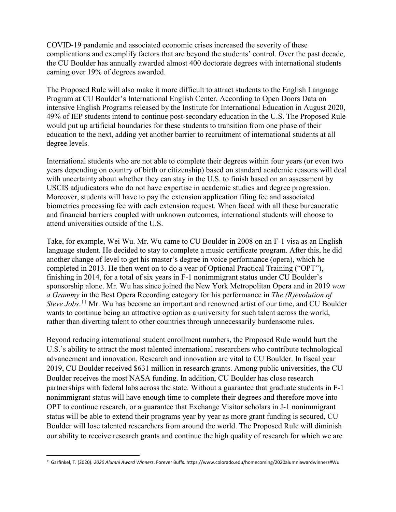COVID-19 pandemic and associated economic crises increased the severity of these complications and exemplify factors that are beyond the students' control. Over the past decade, the CU Boulder has annually awarded almost 400 doctorate degrees with international students earning over 19% of degrees awarded.

The Proposed Rule will also make it more difficult to attract students to the English Language Program at CU Boulder's International English Center. According to Open Doors Data on intensive English Programs released by the Institute for International Education in August 2020, 49% of IEP students intend to continue post-secondary education in the U.S. The Proposed Rule would put up artificial boundaries for these students to transition from one phase of their education to the next, adding yet another barrier to recruitment of international students at all degree levels.

International students who are not able to complete their degrees within four years (or even two years depending on country of birth or citizenship) based on standard academic reasons will deal with uncertainty about whether they can stay in the U.S. to finish based on an assessment by USCIS adjudicators who do not have expertise in academic studies and degree progression. Moreover, students will have to pay the extension application filing fee and associated biometrics processing fee with each extension request. When faced with all these bureaucratic and financial barriers coupled with unknown outcomes, international students will choose to attend universities outside of the U.S.

Take, for example, Wei Wu. Mr. Wu came to CU Boulder in 2008 on an F-1 visa as an English language student. He decided to stay to complete a music certificate program. After this, he did another change of level to get his master's degree in voice performance (opera), which he completed in 2013. He then went on to do a year of Optional Practical Training ("OPT"), finishing in 2014, for a total of six years in F-1 nonimmigrant status under CU Boulder's sponsorship alone. Mr. Wu has since joined the New York Metropolitan Opera and in 2019 *won a Grammy* in the Best Opera Recording category for his performance in *The (R)evolution of Steve Jobs*. [11](#page-3-0) Mr. Wu has become an important and renowned artist of our time, and CU Boulder wants to continue being an attractive option as a university for such talent across the world, rather than diverting talent to other countries through unnecessarily burdensome rules.

Beyond reducing international student enrollment numbers, the Proposed Rule would hurt the U.S.'s ability to attract the most talented international researchers who contribute technological advancement and innovation. Research and innovation are vital to CU Boulder. In fiscal year 2019, CU Boulder received \$631 million in research grants. Among public universities, the CU Boulder receives the most NASA funding. In addition, CU Boulder has close research partnerships with federal labs across the state. Without a guarantee that graduate students in F-1 nonimmigrant status will have enough time to complete their degrees and therefore move into OPT to continue research, or a guarantee that Exchange Visitor scholars in J-1 nonimmigrant status will be able to extend their programs year by year as more grant funding is secured, CU Boulder will lose talented researchers from around the world. The Proposed Rule will diminish our ability to receive research grants and continue the high quality of research for which we are

<span id="page-3-0"></span> <sup>11</sup> Garfinkel, T. (2020). *2020 Alumni Award Winners*. Forever Buffs. https://www.colorado.edu/homecoming/2020alumniawardwinners#Wu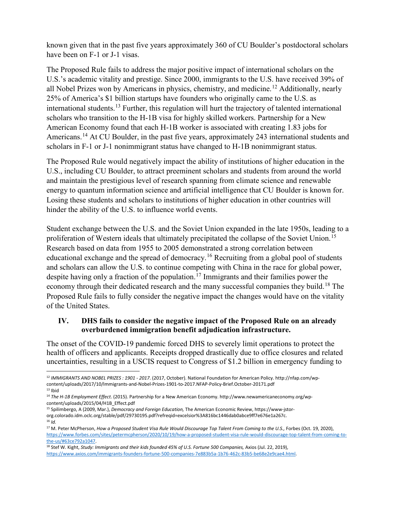known given that in the past five years approximately 360 of CU Boulder's postdoctoral scholars have been on F-1 or J-1 visas.

The Proposed Rule fails to address the major positive impact of international scholars on the U.S.'s academic vitality and prestige. Since 2000, immigrants to the U.S. have received 39% of all Nobel Prizes won by Americans in physics, chemistry, and medicine.<sup>[12](#page-4-0)</sup> Additionally, nearly 25% of America's \$1 billion startups have founders who originally came to the U.S. as international students.<sup>[13](#page-4-1)</sup> Further, this regulation will hurt the trajectory of talented international scholars who transition to the H-1B visa for highly skilled workers. Partnership for a New American Economy found that each H-1B worker is associated with creating 1.83 jobs for Americans.<sup>[14](#page-4-2)</sup> At CU Boulder, in the past five years, approximately 243 international students and scholars in F-1 or J-1 nonimmigrant status have changed to H-1B nonimmigrant status.

The Proposed Rule would negatively impact the ability of institutions of higher education in the U.S., including CU Boulder, to attract preeminent scholars and students from around the world and maintain the prestigious level of research spanning from climate science and renewable energy to quantum information science and artificial intelligence that CU Boulder is known for. Losing these students and scholars to institutions of higher education in other countries will hinder the ability of the U.S. to influence world events.

Student exchange between the U.S. and the Soviet Union expanded in the late 1950s, leading to a proliferation of Western ideals that ultimately precipitated the collapse of the Soviet Union.<sup>[15](#page-4-3)</sup> Research based on data from 1955 to 2005 demonstrated a strong correlation between educational exchange and the spread of democracy.<sup>[16](#page-4-4)</sup> Recruiting from a global pool of students and scholars can allow the U.S. to continue competing with China in the race for global power, despite having only a fraction of the population.<sup>[17](#page-4-5)</sup> Immigrants and their families power the economy through their dedicated research and the many successful companies they build.<sup>[18](#page-4-6)</sup> The Proposed Rule fails to fully consider the negative impact the changes would have on the vitality of the United States.

### **IV. DHS fails to consider the negative impact of the Proposed Rule on an already overburdened immigration benefit adjudication infrastructure.**

The onset of the COVID-19 pandemic forced DHS to severely limit operations to protect the health of officers and applicants. Receipts dropped drastically due to office closures and related uncertainties, resulting in a USCIS request to Congress of \$1.2 billion in emergency funding to

<span id="page-4-4"></span> $16$  *Id.* 

<span id="page-4-0"></span> <sup>12</sup> *IMMIGRANTS AND NOBEL PRIZES : 1901 - <sup>2017</sup>*. (2017, October). National Foundation for American Policy. http://nfap.com/wpcontent/uploads/2017/10/Immigrants-and-Nobel-Prizes-1901-to-2017.NFAP-Policy-Brief.October-20171.pdf  $13$  Ibid

<span id="page-4-2"></span><span id="page-4-1"></span><sup>14</sup> *The H-1B Employment Effect*. (2015). Partnership for a New American Economy. http://www.newamericaneconomy.org/wpcontent/uploads/2015/04/H1B\_Effect.pdf

<span id="page-4-3"></span><sup>15</sup> Spilimbergo, A (2009, Mar.), *Democracy and Foreign Education,* The American Economic Review, https://www-jstororg.colorado.idm.oclc.org/stable/pdf/29730195.pdf?refreqid=excelsior%3A816bc1446dab0abce9ff7e676e1a267c.

<span id="page-4-5"></span><sup>&</sup>lt;sup>17</sup> M. Peter McPherson, How a Proposed Student Visa Rule Would Discourage Top Talent From Coming to the U.S., Forbes (Oct. 19, 2020), [https://www.forbes.com/sites/petermcpherson/2020/10/19/how-a-proposed-student-visa-rule-would-discourage-top-talent-from-coming-to](https://www.forbes.com/sites/petermcpherson/2020/10/19/how-a-proposed-student-visa-rule-would-discourage-top-talent-from-coming-to-the-us/#63ce792a1047)[the-us/#63ce792a1047.](https://www.forbes.com/sites/petermcpherson/2020/10/19/how-a-proposed-student-visa-rule-would-discourage-top-talent-from-coming-to-the-us/#63ce792a1047)

<span id="page-4-6"></span><sup>&</sup>lt;sup>18</sup> Stef W. Kight, *Study: Immigrants and their kids founded 45% of U.S. Fortune 500 Companies, Axios (Jul. 22, 2019)*, [https://www.axios.com/immigrants-founders-fortune-500-companies-7e883b5a-1b76-462c-83b5-be68e2e9cae4.html.](https://www.axios.com/immigrants-founders-fortune-500-companies-7e883b5a-1b76-462c-83b5-be68e2e9cae4.html)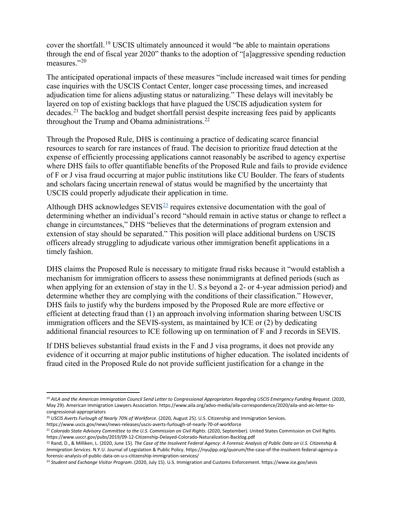cover the shortfall.<sup>[19](#page-5-0)</sup> USCIS ultimately announced it would "be able to maintain operations through the end of fiscal year 2020" thanks to the adoption of "[a]aggressive spending reduction measures."<sup>[20](#page-5-1)</sup>

The anticipated operational impacts of these measures "include increased wait times for pending case inquiries with the USCIS Contact Center, longer case processing times, and increased adjudication time for aliens adjusting status or naturalizing." These delays will inevitably be layered on top of existing backlogs that have plagued the USCIS adjudication system for decades.<sup>[21](#page-5-2)</sup> The backlog and budget shortfall persist despite increasing fees paid by applicants throughout the Trump and Obama administrations.<sup>[22](#page-5-3)</sup>

Through the Proposed Rule, DHS is continuing a practice of dedicating scarce financial resources to search for rare instances of fraud. The decision to prioritize fraud detection at the expense of efficiently processing applications cannot reasonably be ascribed to agency expertise where DHS fails to offer quantifiable benefits of the Proposed Rule and fails to provide evidence of F or J visa fraud occurring at major public institutions like CU Boulder. The fears of students and scholars facing uncertain renewal of status would be magnified by the uncertainty that USCIS could properly adjudicate their application in time.

Although DHS acknowledges  $SEVIS<sup>23</sup>$  $SEVIS<sup>23</sup>$  $SEVIS<sup>23</sup>$  requires extensive documentation with the goal of determining whether an individual's record "should remain in active status or change to reflect a change in circumstances," DHS "believes that the determinations of program extension and extension of stay should be separated." This position will place additional burdens on USCIS officers already struggling to adjudicate various other immigration benefit applications in a timely fashion.

DHS claims the Proposed Rule is necessary to mitigate fraud risks because it "would establish a mechanism for immigration officers to assess these nonimmigrants at defined periods (such as when applying for an extension of stay in the U. S.s beyond a 2- or 4-year admission period) and determine whether they are complying with the conditions of their classification." However, DHS fails to justify why the burdens imposed by the Proposed Rule are more effective or efficient at detecting fraud than (1) an approach involving information sharing between USCIS immigration officers and the SEVIS-system, as maintained by ICE or (2) by dedicating additional financial resources to ICE following up on termination of F and J records in SEVIS.

If DHS believes substantial fraud exists in the F and J visa programs, it does not provide any evidence of it occurring at major public institutions of higher education. The isolated incidents of fraud cited in the Proposed Rule do not provide sufficient justification for a change in the

<span id="page-5-0"></span> <sup>19</sup> *AILA and the American Immigration Council Send Letter to Congressional Appropriators Regarding USCIS Emergency Funding Request*. (2020, May 29). American Immigration Lawyers Association. https://www.aila.org/advo-media/aila-correspondence/2020/aila-and-aic-letter-tocongressional-appropriators

<span id="page-5-1"></span><sup>20</sup> *USCIS Averts Furlough of Nearly 70% of Workforce*. (2020, August 25). U.S. Citizenship and Immigration Services.

https://www.uscis.gov/news/news-releases/uscis-averts-furlough-of-nearly-70-of-workforce

<span id="page-5-2"></span><sup>21</sup> *Colorado State Advisory Committee to the U.S. Commission on Civil Rights*. (2020, September). United States Commission on Civil Rights. https://www.usccr.gov/pubs/2019/09-12-Citizenship-Delayed-Colorado-Naturalization-Backlog.pdf

<span id="page-5-3"></span><sup>22</sup> Rand, D., & Milliken, L. (2020, June 15). *The Case of the Insolvent Federal Agency: A Forensic Analysis of Public Data on U.S. Citizenship & Immigration Services*. N.Y.U. Journal of Legislation & Public Policy. https://nyujlpp.org/quorum/the-case-of-the-insolvent-federal-agency-aforensic-analysis-of-public-data-on-u-s-citizenship-immigration-services/

<span id="page-5-4"></span><sup>23</sup> *Student and Exchange Visitor Program*. (2020, July 15). U.S. Immigration and Customs Enforcement. https://www.ice.gov/sevis